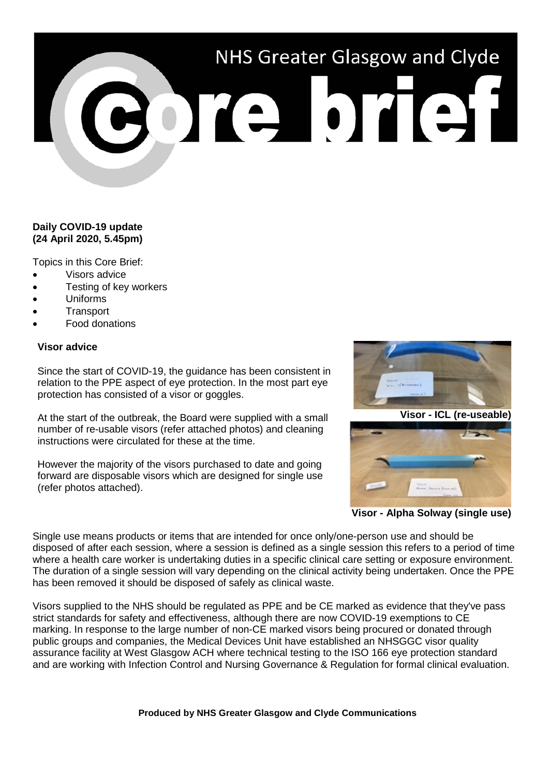# NHS Greater Glasgow and Clyde

# **Daily COVID-19 update (24 April 2020, 5.45pm)**

Topics in this Core Brief:

- Visors advice
- Testing of key workers
- Uniforms
- **Transport**
- Food donations

### **Visor advice**

Since the start of COVID-19, the guidance has been consistent in relation to the PPE aspect of eye protection. In the most part eye protection has consisted of a visor or goggles.

At the start of the outbreak, the Board were supplied with a small number of re-usable visors (refer attached photos) and cleaning instructions were circulated for these at the time.

However the majority of the visors purchased to date and going forward are disposable visors which are designed for single use (refer photos attached).



**Visor - ICL (re-useable)**



**Visor - Alpha Solway (single use)**

Single use means products or items that are intended for once only/one-person use and should be disposed of after each session, where a session is defined as a single session this refers to a period of time where a health care worker is undertaking duties in a specific clinical care setting or exposure environment. The duration of a single session will vary depending on the clinical activity being undertaken. Once the PPE has been removed it should be disposed of safely as clinical waste.

Visors supplied to the NHS should be regulated as PPE and be CE marked as evidence that they've pass strict standards for safety and effectiveness, although there are now COVID-19 exemptions to CE marking. In response to the large number of non-CE marked visors being procured or donated through public groups and companies, the Medical Devices Unit have established an NHSGGC visor quality assurance facility at West Glasgow ACH where technical testing to the ISO 166 eye protection standard and are working with Infection Control and Nursing Governance & Regulation for formal clinical evaluation.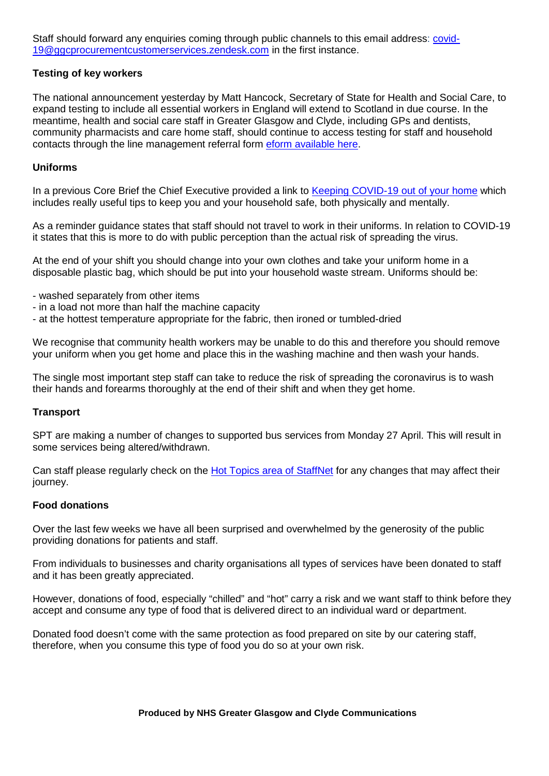Staff should forward any enquiries coming through public channels to this email address: [covid-](mailto:covid-19@ggcprocurementcustomerservices.zendesk.com)[19@ggcprocurementcustomerservices.zendesk.com](mailto:covid-19@ggcprocurementcustomerservices.zendesk.com) in the first instance.

## **Testing of key workers**

The national announcement yesterday by Matt Hancock, Secretary of State for Health and Social Care, to expand testing to include all essential workers in England will extend to Scotland in due course. In the meantime, health and social care staff in Greater Glasgow and Clyde, including GPs and dentists, community pharmacists and care home staff, should continue to access testing for staff and household contacts through the line management referral form [eform available here.](https://forms.office.com/Pages/ResponsePage.aspx?id=veDvEDCgykuAnLXmdF5JmgW9YoY5w-BDlHK7ghonYUBUREhYMVBENDNBTzNYMU9GT0E4UkJDV0wySyQlQCN0PWcu)

### **Uniforms**

In a previous Core Brief the Chief Executive provided a link to [Keeping COVID-19 out of your home](https://www.nhsggc.org.uk/media/259960/320740_1_0_covidouthome_screen.pdf) which includes really useful tips to keep you and your household safe, both physically and mentally.

As a reminder guidance states that staff should not travel to work in their uniforms. In relation to COVID-19 it states that this is more to do with public perception than the actual risk of spreading the virus.

At the end of your shift you should change into your own clothes and take your uniform home in a disposable plastic bag, which should be put into your household waste stream. Uniforms should be:

- washed separately from other items
- in a load not more than half the machine capacity
- at the hottest temperature appropriate for the fabric, then ironed or tumbled-dried

We recognise that community health workers may be unable to do this and therefore you should remove your uniform when you get home and place this in the washing machine and then wash your hands.

The single most important step staff can take to reduce the risk of spreading the coronavirus is to wash their hands and forearms thoroughly at the end of their shift and when they get home.

#### **Transport**

SPT are making a number of changes to supported bus services from Monday 27 April. This will result in some services being altered/withdrawn.

Can staff please regularly check on the [Hot Topics area of StaffNet](http://www.staffnet.ggc.scot.nhs.uk/Corporate%20Services/Communications/Hot%20Topics/Pages/comms_Transportupdates_mb200320.aspx) for any changes that may affect their journey.

#### **Food donations**

Over the last few weeks we have all been surprised and overwhelmed by the generosity of the public providing donations for patients and staff.

From individuals to businesses and charity organisations all types of services have been donated to staff and it has been greatly appreciated.

However, donations of food, especially "chilled" and "hot" carry a risk and we want staff to think before they accept and consume any type of food that is delivered direct to an individual ward or department.

Donated food doesn't come with the same protection as food prepared on site by our catering staff, therefore, when you consume this type of food you do so at your own risk.